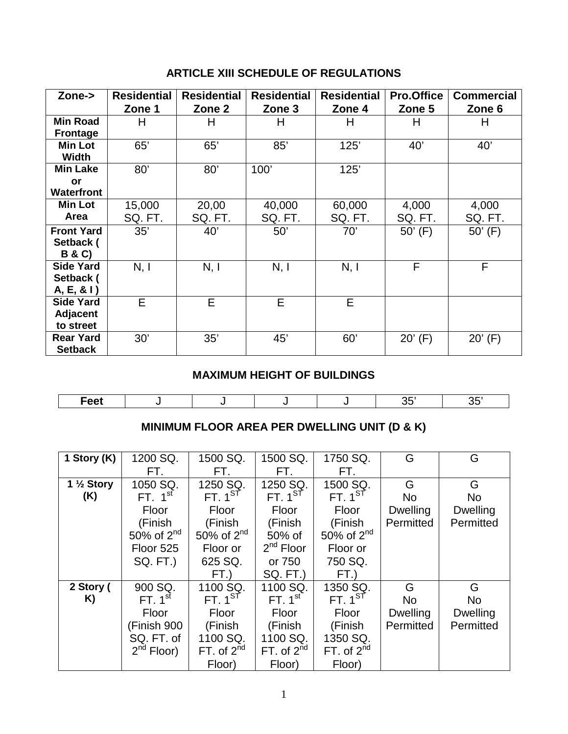## **ARTICLE XIII SCHEDULE OF REGULATIONS**

| Zone->                                            | <b>Residential</b><br>Zone 1 | <b>Residential</b><br>Zone 2 | <b>Residential</b><br>Zone 3 | <b>Residential</b><br>Zone 4 | <b>Pro.Office</b><br>Zone 5 | <b>Commercial</b><br>Zone 6 |
|---------------------------------------------------|------------------------------|------------------------------|------------------------------|------------------------------|-----------------------------|-----------------------------|
| <b>Min Road</b><br><b>Frontage</b>                | H                            | H                            | н                            | H                            | H                           | Н                           |
| <b>Min Lot</b><br>Width                           | 65'                          | 65'                          | 85'                          | 125'                         | 40'                         | 40'                         |
| <b>Min Lake</b><br>or<br><b>Waterfront</b>        | 80'                          | 80'                          | 100'                         | 125'                         |                             |                             |
| Min Lot<br><b>Area</b>                            | 15,000<br>SQ. FT.            | 20,00<br>SQ. FT.             | 40,000<br>SQ. FT.            | 60,000<br>SQ. FT.            | 4,000<br>SQ. FT.            | 4,000<br>SQ. FT.            |
| <b>Front Yard</b><br>Setback (<br><b>B&amp;C)</b> | 35'                          | 40'                          | 50'                          | 70'                          | $50'$ (F)                   | $50'$ (F)                   |
| <b>Side Yard</b><br>Setback (<br>A, E, 81         | N, I                         | N, I                         | N, I                         | N, I                         | F                           | F                           |
| <b>Side Yard</b><br>Adjacent<br>to street         | Е                            | E                            | E                            | E                            |                             |                             |
| <b>Rear Yard</b><br><b>Setback</b>                | 30'                          | 35'                          | 45'                          | 60'                          | $20'$ (F)                   | $20'$ (F)                   |

## **MAXIMUM HEIGHT OF BUILDINGS**

| Eggt.<br>. .<br>. . |  |  | - - |  |
|---------------------|--|--|-----|--|

# **MINIMUM FLOOR AREA PER DWELLING UNIT (D & K)**

| 1 Story (K)           | 1200 SQ.            | 1500 SQ.        | 1500 SQ.           | 1750 SQ.        | G               | G               |
|-----------------------|---------------------|-----------------|--------------------|-----------------|-----------------|-----------------|
|                       | FT.                 | FT.             | FT.                | FT.             |                 |                 |
| 1 $\frac{1}{2}$ Story | 1050 SQ.            | 1250 SQ.        | 1250 SQ.           | 1500 SQ.        | G               | G               |
| (K)                   | FT. 1 <sup>st</sup> | FT. $1^{ST}$    | FT.1 <sup>ST</sup> | FT. $1^{ST}$    | <b>No</b>       | <b>No</b>       |
|                       | Floor               | Floor           | Floor              | Floor           | <b>Dwelling</b> | <b>Dwelling</b> |
|                       | (Finish             | (Finish         | (Finish            | (Finish         | Permitted       | Permitted       |
|                       | 50% of $2nd$        | 50% of $2nd$    | 50% of             | 50% of $2nd$    |                 |                 |
|                       | Floor 525           | Floor or        | $2nd$ Floor        | Floor or        |                 |                 |
|                       | <b>SQ. FT.)</b>     | 625 SQ.         | or 750             | 750 SQ.         |                 |                 |
|                       |                     | FT.)            | SQ. FT.)           | FT.)            |                 |                 |
| 2 Story (             | 900 SQ.             | 1100 SQ.        | 1100 SQ.           | 1350 SQ.        | G               | G               |
| K)                    | FT. $1st$           | FT. $1^{ST}$    | FT. $1st$          | FT. $1^{ST}$    | <b>No</b>       | <b>No</b>       |
|                       | Floor               | Floor           | Floor              | Floor           | <b>Dwelling</b> | <b>Dwelling</b> |
|                       | (Finish 900         | (Finish         | (Finish            | (Finish         | Permitted       | Permitted       |
|                       | SQ. FT. of          | 1100 SQ.        | 1100 SQ.           | 1350 SQ.        |                 |                 |
|                       | $2^{nd}$ Floor)     | FT. of $2^{nd}$ | FT. of $2^{nd}$    | FT. of $2^{nd}$ |                 |                 |
|                       |                     | Floor)          | Floor)             | Floor)          |                 |                 |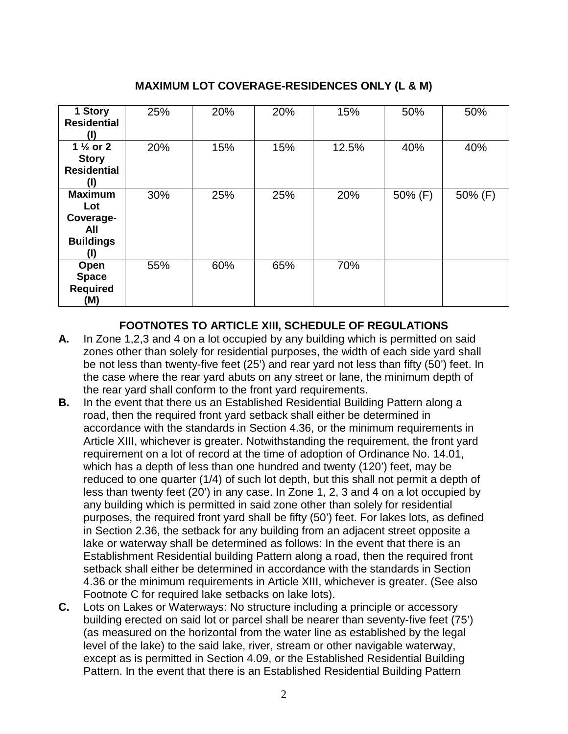## **MAXIMUM LOT COVERAGE-RESIDENCES ONLY (L & M)**

| 1 Story<br><b>Residential</b>                                        | 25% | 20% | 20% | 15%   | 50%     | 50%     |
|----------------------------------------------------------------------|-----|-----|-----|-------|---------|---------|
| 1 $\frac{1}{2}$ or 2<br><b>Story</b><br><b>Residential</b><br>(I)    | 20% | 15% | 15% | 12.5% | 40%     | 40%     |
| <b>Maximum</b><br>Lot<br>Coverage-<br>All<br><b>Buildings</b><br>(I) | 30% | 25% | 25% | 20%   | 50% (F) | 50% (F) |
| Open<br><b>Space</b><br><b>Required</b><br>(M)                       | 55% | 60% | 65% | 70%   |         |         |

#### **FOOTNOTES TO ARTICLE XIII, SCHEDULE OF REGULATIONS**

- **A.** In Zone 1,2,3 and 4 on a lot occupied by any building which is permitted on said zones other than solely for residential purposes, the width of each side yard shall be not less than twenty-five feet (25') and rear yard not less than fifty (50') feet. In the case where the rear yard abuts on any street or lane, the minimum depth of the rear yard shall conform to the front yard requirements.
- **B.** In the event that there us an Established Residential Building Pattern along a road, then the required front yard setback shall either be determined in accordance with the standards in Section 4.36, or the minimum requirements in Article XIII, whichever is greater. Notwithstanding the requirement, the front yard requirement on a lot of record at the time of adoption of Ordinance No. 14.01, which has a depth of less than one hundred and twenty (120') feet, may be reduced to one quarter (1/4) of such lot depth, but this shall not permit a depth of less than twenty feet (20') in any case. In Zone 1, 2, 3 and 4 on a lot occupied by any building which is permitted in said zone other than solely for residential purposes, the required front yard shall be fifty (50') feet. For lakes lots, as defined in Section 2.36, the setback for any building from an adjacent street opposite a lake or waterway shall be determined as follows: In the event that there is an Establishment Residential building Pattern along a road, then the required front setback shall either be determined in accordance with the standards in Section 4.36 or the minimum requirements in Article XIII, whichever is greater. (See also Footnote C for required lake setbacks on lake lots).
- **C.** Lots on Lakes or Waterways: No structure including a principle or accessory building erected on said lot or parcel shall be nearer than seventy-five feet (75') (as measured on the horizontal from the water line as established by the legal level of the lake) to the said lake, river, stream or other navigable waterway, except as is permitted in Section 4.09, or the Established Residential Building Pattern. In the event that there is an Established Residential Building Pattern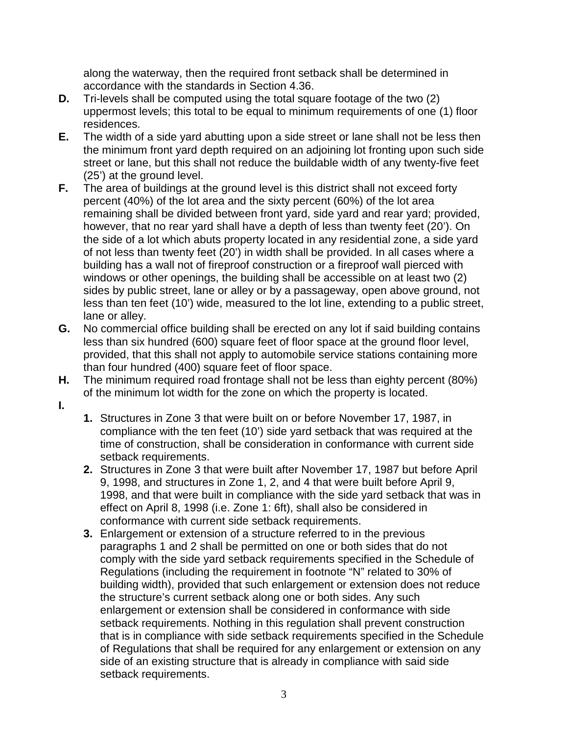along the waterway, then the required front setback shall be determined in accordance with the standards in Section 4.36.

- **D.** Tri-levels shall be computed using the total square footage of the two (2) uppermost levels; this total to be equal to minimum requirements of one (1) floor residences.
- **E.** The width of a side yard abutting upon a side street or lane shall not be less then the minimum front yard depth required on an adjoining lot fronting upon such side street or lane, but this shall not reduce the buildable width of any twenty-five feet (25') at the ground level.
- **F.** The area of buildings at the ground level is this district shall not exceed forty percent (40%) of the lot area and the sixty percent (60%) of the lot area remaining shall be divided between front yard, side yard and rear yard; provided, however, that no rear yard shall have a depth of less than twenty feet (20'). On the side of a lot which abuts property located in any residential zone, a side yard of not less than twenty feet (20') in width shall be provided. In all cases where a building has a wall not of fireproof construction or a fireproof wall pierced with windows or other openings, the building shall be accessible on at least two (2) sides by public street, lane or alley or by a passageway, open above ground, not less than ten feet (10') wide, measured to the lot line, extending to a public street, lane or alley.
- **G.** No commercial office building shall be erected on any lot if said building contains less than six hundred (600) square feet of floor space at the ground floor level, provided, that this shall not apply to automobile service stations containing more than four hundred (400) square feet of floor space.
- **H.** The minimum required road frontage shall not be less than eighty percent (80%) of the minimum lot width for the zone on which the property is located.
- **I.**
- **1.** Structures in Zone 3 that were built on or before November 17, 1987, in compliance with the ten feet (10') side yard setback that was required at the time of construction, shall be consideration in conformance with current side setback requirements.
- **2.** Structures in Zone 3 that were built after November 17, 1987 but before April 9, 1998, and structures in Zone 1, 2, and 4 that were built before April 9, 1998, and that were built in compliance with the side yard setback that was in effect on April 8, 1998 (i.e. Zone 1: 6ft), shall also be considered in conformance with current side setback requirements.
- **3.** Enlargement or extension of a structure referred to in the previous paragraphs 1 and 2 shall be permitted on one or both sides that do not comply with the side yard setback requirements specified in the Schedule of Regulations (including the requirement in footnote "N" related to 30% of building width), provided that such enlargement or extension does not reduce the structure's current setback along one or both sides. Any such enlargement or extension shall be considered in conformance with side setback requirements. Nothing in this regulation shall prevent construction that is in compliance with side setback requirements specified in the Schedule of Regulations that shall be required for any enlargement or extension on any side of an existing structure that is already in compliance with said side setback requirements.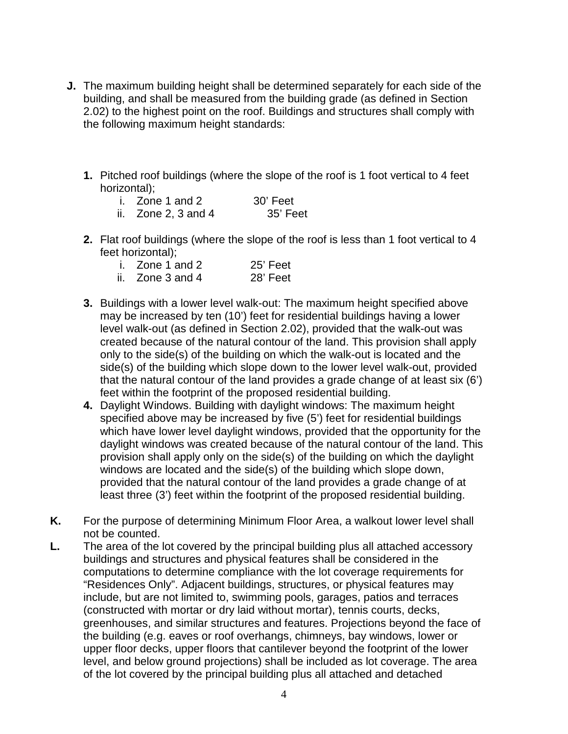- **J.** The maximum building height shall be determined separately for each side of the building, and shall be measured from the building grade (as defined in Section 2.02) to the highest point on the roof. Buildings and structures shall comply with the following maximum height standards:
	- **1.** Pitched roof buildings (where the slope of the roof is 1 foot vertical to 4 feet horizontal);

| i. Zone 1 and 2         | 30' Feet |
|-------------------------|----------|
| ii. Zone $2, 3$ and $4$ | 35' Feet |

**2.** Flat roof buildings (where the slope of the roof is less than 1 foot vertical to 4 feet horizontal);

| i. Zone 1 and 2  | 25' Feet |
|------------------|----------|
| ii. Zone 3 and 4 | 28' Feet |

- **3.** Buildings with a lower level walk-out: The maximum height specified above may be increased by ten (10') feet for residential buildings having a lower level walk-out (as defined in Section 2.02), provided that the walk-out was created because of the natural contour of the land. This provision shall apply only to the side(s) of the building on which the walk-out is located and the side(s) of the building which slope down to the lower level walk-out, provided
	- that the natural contour of the land provides a grade change of at least six (6') feet within the footprint of the proposed residential building. **4.** Daylight Windows. Building with daylight windows: The maximum height specified above may be increased by five (5') feet for residential buildings which have lower level daylight windows, provided that the opportunity for the daylight windows was created because of the natural contour of the land. This provision shall apply only on the side(s) of the building on which the daylight

windows are located and the side(s) of the building which slope down, provided that the natural contour of the land provides a grade change of at least three (3') feet within the footprint of the proposed residential building.

- **K.** For the purpose of determining Minimum Floor Area, a walkout lower level shall not be counted.
- **L.** The area of the lot covered by the principal building plus all attached accessory buildings and structures and physical features shall be considered in the computations to determine compliance with the lot coverage requirements for "Residences Only". Adjacent buildings, structures, or physical features may include, but are not limited to, swimming pools, garages, patios and terraces (constructed with mortar or dry laid without mortar), tennis courts, decks, greenhouses, and similar structures and features. Projections beyond the face of the building (e.g. eaves or roof overhangs, chimneys, bay windows, lower or upper floor decks, upper floors that cantilever beyond the footprint of the lower level, and below ground projections) shall be included as lot coverage. The area of the lot covered by the principal building plus all attached and detached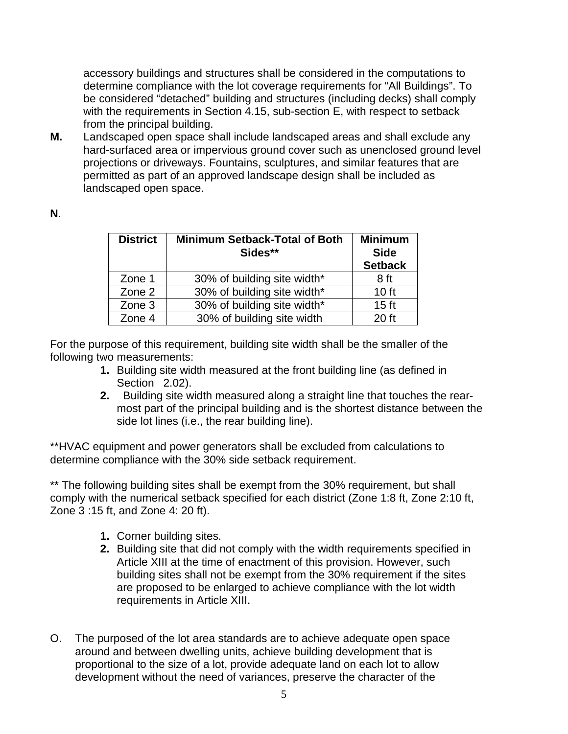accessory buildings and structures shall be considered in the computations to determine compliance with the lot coverage requirements for "All Buildings". To be considered "detached" building and structures (including decks) shall comply with the requirements in Section 4.15, sub-section E, with respect to setback from the principal building.

**M.** Landscaped open space shall include landscaped areas and shall exclude any hard-surfaced area or impervious ground cover such as unenclosed ground level projections or driveways. Fountains, sculptures, and similar features that are permitted as part of an approved landscape design shall be included as landscaped open space.

| <b>District</b> | <b>Minimum Setback-Total of Both</b><br>Sides** | <b>Minimum</b><br><b>Side</b><br><b>Setback</b> |
|-----------------|-------------------------------------------------|-------------------------------------------------|
| Zone 1          | 30% of building site width*                     | 8 ft                                            |
| Zone 2          | 30% of building site width*                     | 10 <sub>ft</sub>                                |
| Zone 3          | 30% of building site width*                     | 15 <sub>ft</sub>                                |
| Zone 4          | 30% of building site width                      | 20 ft                                           |

For the purpose of this requirement, building site width shall be the smaller of the following two measurements:

- **1.** Building site width measured at the front building line (as defined in Section 2.02).
- **2.** Building site width measured along a straight line that touches the rearmost part of the principal building and is the shortest distance between the side lot lines (i.e., the rear building line).

\*\*HVAC equipment and power generators shall be excluded from calculations to determine compliance with the 30% side setback requirement.

\*\* The following building sites shall be exempt from the 30% requirement, but shall comply with the numerical setback specified for each district (Zone 1:8 ft, Zone 2:10 ft, Zone 3 :15 ft, and Zone 4: 20 ft).

- **1.** Corner building sites.
- **2.** Building site that did not comply with the width requirements specified in Article XIII at the time of enactment of this provision. However, such building sites shall not be exempt from the 30% requirement if the sites are proposed to be enlarged to achieve compliance with the lot width requirements in Article XIII.
- O. The purposed of the lot area standards are to achieve adequate open space around and between dwelling units, achieve building development that is proportional to the size of a lot, provide adequate land on each lot to allow development without the need of variances, preserve the character of the